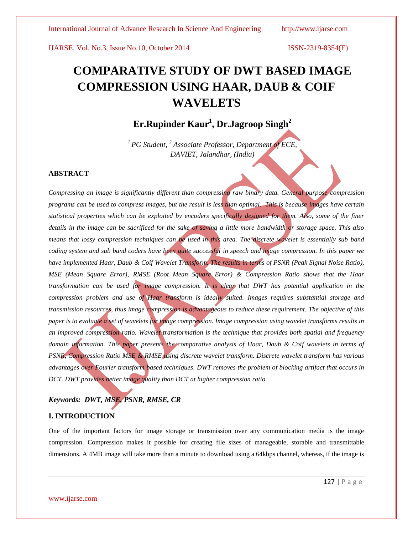# **COMPARATIVE STUDY OF DWT BASED IMAGE COMPRESSION USING HAAR, DAUB & COIF WAVELETS**

## **Er.Rupinder Kaur<sup>1</sup> , Dr.Jagroop Singh<sup>2</sup>**

*<sup>1</sup> PG Student, <sup>2</sup> Associate Professor, Department of ECE, DAVIET, Jalandhar, (India)*

#### **ABSTRACT**

*Compressing an image is significantly different than compressing raw binary data. General purpose compression programs can be used to compress images, but the result is less than optimal. This is because images have certain statistical properties which can be exploited by encoders specifically designed for them. Also, some of the finer details in the image can be sacrificed for the sake of saving a little more bandwidth or storage space. This also means that lossy compression techniques can be used in this area. The discrete wavelet is essentially sub band coding system and sub band coders have been quite successful in speech and image compression. In this paper we have implemented Haar, Daub & Coif Wavelet Transform. The results in terms of PSNR (Peak Signal Noise Ratio), MSE (Mean Square Error), RMSE (Root Mean Square Error) & Compression Ratio shows that the Haar transformation can be used for image compression. It is clear that DWT has potential application in the compression problem and use of Haar transform is ideally suited. Images requires substantial storage and transmission resources, thus image compression is advantageous to reduce these requirement. The objective of this paper is to evaluate a set of wavelets for image compression. Image compression using wavelet transforms results in an improved compression ratio. Wavelet transformation is the technique that provides both spatial and frequency domain information. This paper presents the comparative analysis of Haar, Daub & Coif wavelets in terms of PSNR, Compression Ratio MSE & RMSE using discrete wavelet transform. Discrete wavelet transform has various advantages over Fourier transform based techniques. DWT removes the problem of blocking artifact that occurs in DCT. DWT provides better image quality than DCT at higher compression ratio.*

### *Keywords: DWT, MSE, PSNR, RMSE, CR*

#### **I. INTRODUCTION**

One of the important factors for image storage or transmission over any communication media is the image compression. Compression makes it possible for creating file sizes of manageable, storable and transmittable dimensions. A 4MB image will take more than a minute to download using a 64kbps channel, whereas, if the image is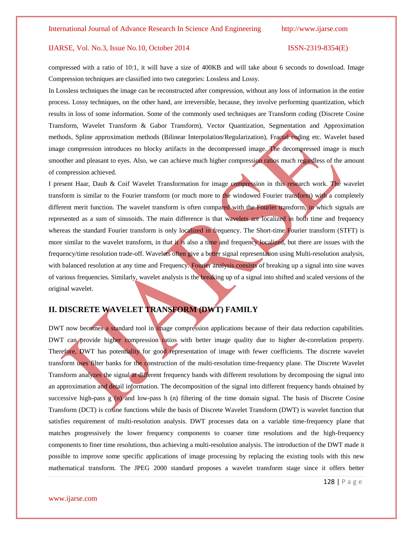compressed with a ratio of 10:1, it will have a size of 400KB and will take about 6 seconds to download. Image Compression techniques are classified into two categories: Lossless and Lossy.

In Lossless techniques the image can be reconstructed after compression, without any loss of information in the entire process. Lossy techniques, on the other hand, are irreversible, because, they involve performing quantization, which results in loss of some information. Some of the commonly used techniques are Transform coding (Discrete Cosine Transform, Wavelet Transform & Gabor Transform), Vector Quantization, Segmentation and Approximation methods, Spline approximation methods (Bilinear Interpolation/Regularization), Fractal coding etc. Wavelet based image compression introduces no blocky artifacts in the decompressed image. The decompressed image is much smoother and pleasant to eyes. Also, we can achieve much higher compression ratios much regardless of the amount of compression achieved.

I present Haar, Daub & Coif Wavelet Transformation for image compression in this research work. The wavelet transform is similar to the Fourier transform (or much more to the windowed Fourier transform) with a completely different merit function. The wavelet transform is often compared with the Fourier transform, in which signals are represented as a sum of sinusoids. The main difference is that wavelets are localized in both time and frequency whereas the standard Fourier transform is only localized in frequency. The Short-time Fourier transform (STFT) is more similar to the wavelet transform, in that it is also a time and frequency localized, but there are issues with the frequency/time resolution trade-off. Wavelets often give a better signal representation using Multi-resolution analysis, with balanced resolution at any time and Frequency. Fourier analysis consists of breaking up a signal into sine waves of various frequencies. Similarly, wavelet analysis is the breaking up of a signal into shifted and scaled versions of the original wavelet.

### **II. DISCRETE WAVELET TRANSFORM (DWT) FAMILY**

DWT now becomes a standard tool in image compression applications because of their data reduction capabilities. DWT can provide higher compression ratios with better image quality due to higher de-correlation property. Therefore, DWT has potentiality for good representation of image with fewer coefficients. The discrete wavelet transform uses filter banks for the construction of the multi-resolution time-frequency plane. The Discrete Wavelet Transform analyzes the signal at different frequency bands with different resolutions by decomposing the signal into an approximation and detail information. The decomposition of the signal into different frequency bands obtained by successive high-pass  $g(n)$  and low-pass h (n) filtering of the time domain signal. The basis of Discrete Cosine Transform (DCT) is cosine functions while the basis of Discrete Wavelet Transform (DWT) is wavelet function that satisfies requirement of multi-resolution analysis. DWT processes data on a variable time-frequency plane that matches progressively the lower frequency components to coarser time resolutions and the high-frequency components to finer time resolutions, thus achieving a multi-resolution analysis. The introduction of the DWT made it possible to improve some specific applications of image processing by replacing the existing tools with this new mathematical transform. The JPEG 2000 standard proposes a wavelet transform stage since it offers better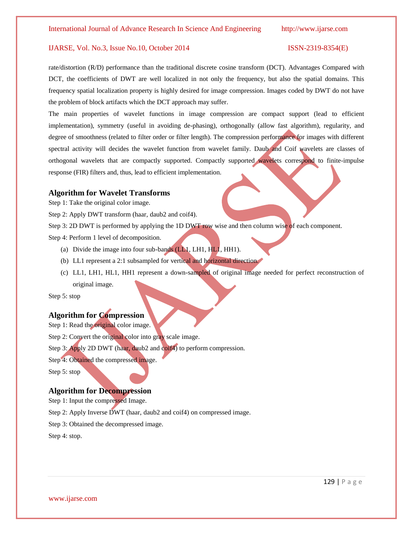rate/distortion (R/D) performance than the traditional discrete cosine transform (DCT). Advantages Compared with DCT, the coefficients of DWT are well localized in not only the frequency, but also the spatial domains. This frequency spatial localization property is highly desired for image compression. Images coded by DWT do not have the problem of block artifacts which the DCT approach may suffer.

The main properties of wavelet functions in image compression are compact support (lead to efficient implementation), symmetry (useful in avoiding de-phasing), orthogonally (allow fast algorithm), regularity, and degree of smoothness (related to filter order or filter length). The compression performance for images with different spectral activity will decides the wavelet function from wavelet family. Daub and Coif wavelets are classes of orthogonal wavelets that are compactly supported. Compactly supported wavelets correspond to finite-impulse response (FIR) filters and, thus, lead to efficient implementation.

### **Algorithm for Wavelet Transforms**

Step 1: Take the original color image.

Step 2: Apply DWT transform (haar, daub2 and coif4).

Step 3: 2D DWT is performed by applying the 1D DWT row wise and then column wise of each component.

Step 4: Perform 1 level of decomposition.

- (a) Divide the image into four sub-bands  $(L_1, L_1, H_1, H_1)$ .
- (b) LL1 represent a 2:1 subsampled for vertical and horizontal direction.
- (c) LL1, LH1, HL1, HH1 represent a down-sampled of original image needed for perfect reconstruction of original image.

Step 5: stop

### **Algorithm for Compression**

Step 1: Read the original color image.

Step 2: Convert the original color into gray scale image.

Step 3: Apply 2D DWT (haar, daub2 and coif4) to perform compression.

Step 4: Obtained the compressed image.

Step 5: stop

#### **Algorithm for Decompression**

Step 1: Input the compressed Image.

Step 2: Apply Inverse DWT (haar, daub2 and coif4) on compressed image.

Step 3: Obtained the decompressed image.

Step 4: stop.

129 | P a g e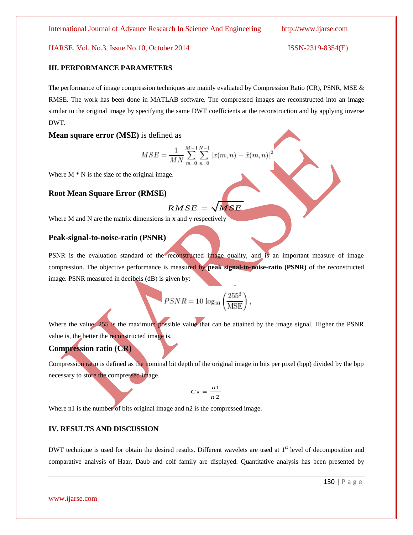#### **III. PERFORMANCE PARAMETERS**

The performance of image compression techniques are mainly evaluated by Compression Ratio (CR), PSNR, MSE & RMSE. The work has been done in MATLAB software. The compressed images are reconstructed into an image similar to the original image by specifying the same DWT coefficients at the reconstruction and by applying inverse DWT.

#### **Mean square error (MSE)** is defined as

$$
MSE = \frac{1}{MN}\sum_{m=0}^{M-1}\sum_{n=0}^{N-1} |x(m,n)-\tilde{x}(m,n)|^2
$$

Where  $M * N$  is the size of the original image.

#### **Root Mean Square Error (RMSE)**

$$
RMSE = \sqrt{MSE}
$$

Where M and N are the matrix dimensions in x and y respectively

#### **Peak-signal-to-noise-ratio (PSNR)**

PSNR is the evaluation standard of the reconstructed image quality, and is an important measure of image compression. The objective performance is measured by **peak signal-to-noise-ratio (PSNR)** of the reconstructed image. PSNR measured in decibels (dB) is given by:

$$
PSNR = 10 \log_{10} \left(\frac{255^2}{\text{MSE}}\right),
$$

Where the value; 255 is the maximum possible value that can be attained by the image signal. Higher the PSNR value is, the better the reconstructed image is.

### **Compression ratio (CR)**

Compression ratio is defined as the nominal bit depth of the original image in bits per pixel (bpp) divided by the bpp necessary to store the compressed image.

$$
C_R = \frac{n1}{n2}
$$

Where n1 is the number of bits original image and n2 is the compressed image.

#### **IV. RESULTS AND DISCUSSION**

DWT technique is used for obtain the desired results. Different wavelets are used at 1<sup>st</sup> level of decomposition and comparative analysis of Haar, Daub and coif family are displayed. Quantitative analysis has been presented by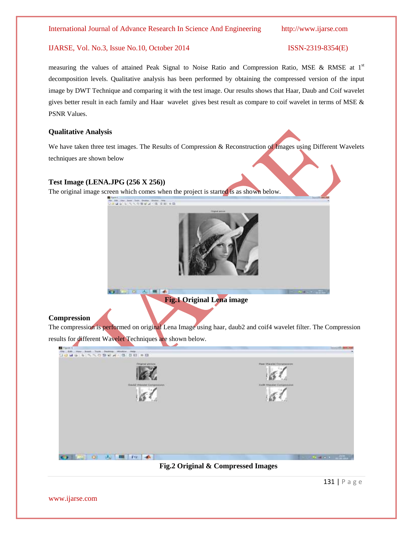measuring the values of attained Peak Signal to Noise Ratio and Compression Ratio, MSE & RMSE at  $1<sup>st</sup>$ decomposition levels. Qualitative analysis has been performed by obtaining the compressed version of the input image by DWT Technique and comparing it with the test image. Our results shows that Haar, Daub and Coif wavelet gives better result in each family and Haar wavelet gives best result as compare to coif wavelet in terms of MSE & PSNR Values.

#### **Qualitative Analysis**

We have taken three test images. The Results of Compression & Reconstruction of Images using Different Wavelets techniques are shown below

#### **Test Image (LENA.JPG (256 X 256))**

The original image screen which comes when the project is started is as shown below.



### **Compression**

The compression is performed on original Lena Image using haar, daub2 and coif4 wavelet filter. The Compression results for different Wavelet Techniques are shown below.



**Fig.2 Original & Compressed Images**

131 | P a g e

www.ijarse.com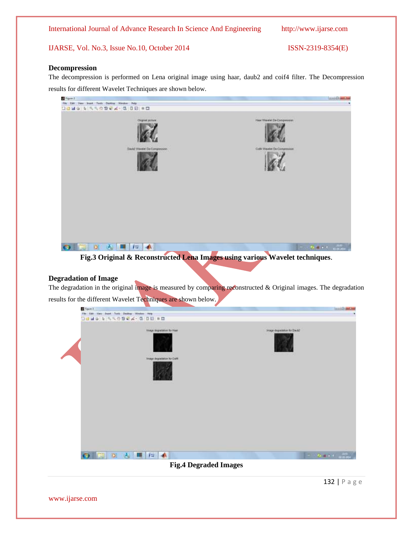International Journal of Advance Research In Science And Engineering http://www.ijarse.com

### IJARSE, Vol. No.3, Issue No.10, October 2014 ISSN-2319-8354(E)

#### **Decompression**

The decompression is performed on Lena original image using haar, daub2 and coif4 filter. The Decompression results for different Wavelet Techniques are shown below.



**Fig.3 Original & Reconstructed Lena Images using various Wavelet techniques**.

### **Degradation of Image**

The degradation in the original image is measured by comparing reconstructed & Original images. The degradation results for the different Wavelet Techniques are shown below.

| $\frac{1}{2}$ Figure 1                          |                                                         | tem (Drawfdor             |   |  |  |  |  |
|-------------------------------------------------|---------------------------------------------------------|---------------------------|---|--|--|--|--|
| East View Dood Tues Dealing Wednes Help<br>File |                                                         |                           | ٠ |  |  |  |  |
| コロミラ ケ アクリカイス・ロ 口田 ※ロ                           |                                                         |                           |   |  |  |  |  |
|                                                 | Image degreement for Haw<br>Image degradation for Calif | Image degrees on to David |   |  |  |  |  |
|                                                 |                                                         |                           |   |  |  |  |  |
|                                                 |                                                         |                           |   |  |  |  |  |
| ■■■■■▲                                          |                                                         |                           |   |  |  |  |  |
| <b>Fig.4 Degraded Images</b>                    |                                                         |                           |   |  |  |  |  |

132 | P a g e

www.ijarse.com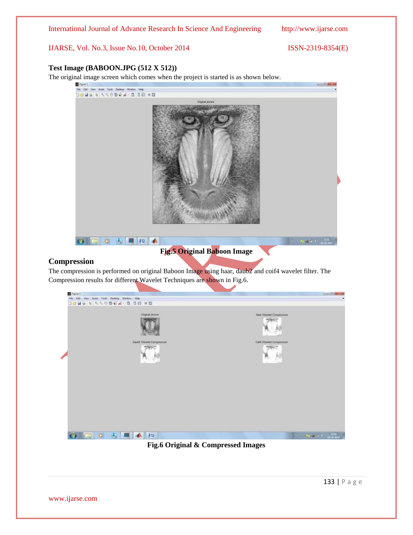International Journal of Advance Research In Science And Engineering http://www.ijarse.com

IJARSE, Vol. No.3, Issue No.10, October 2014 ISSN-2319-8354(E)

#### **Test Image (BABOON.JPG (512 X 512))**

The original image screen which comes when the project is started is as shown below.



### **Compression**

The compression is performed on original Baboon Image using haar, daub2 and coif4 wavelet filter. The Compression results for different Wavelet Techniques are shown in Fig.6.



**Fig.6 Original & Compressed Images**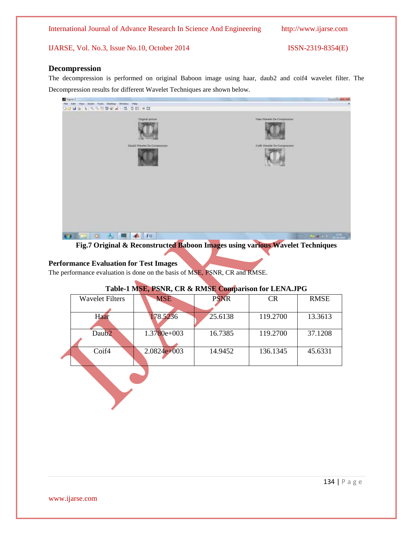#### **Decompression**

The decompression is performed on original Baboon image using haar, daub2 and coif4 wavelet filter. The Decompression results for different Wavelet Techniques are shown below.



**Fig.7 Original & Reconstructed Baboon Images using various Wavelet Techniques**

#### **Performance Evaluation for Test Images**

The performance evaluation is done on the basis of MSE, PSNR, CR and RMSE.

### **Table-1 MSE, PSNR, CR & RMSE Comparison for LENA.JPG**

| <b>Wavelet Filters</b> | <b>MSE</b>    | <b>PSNR</b> | <b>CR</b> | <b>RMSE</b> |
|------------------------|---------------|-------------|-----------|-------------|
|                        |               |             |           |             |
| Haar                   | 178.5236      | 25.6138     | 119.2700  | 13.3613     |
|                        |               |             |           |             |
| Daub <sub>2</sub>      | $1.3780e+003$ | 16.7385     | 119.2700  | 37.1208     |
|                        |               |             |           |             |
| Coif4                  | $2.0824e+003$ | 14.9452     | 136.1345  | 45.6331     |
|                        |               |             |           |             |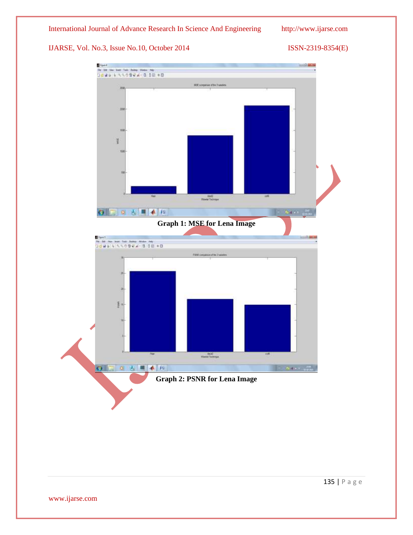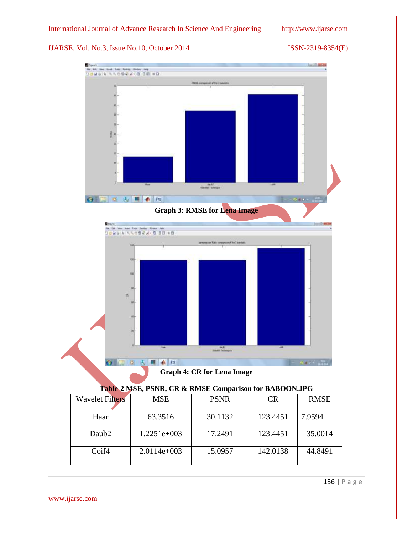

### **Table-2 MSE, PSNR, CR & RMSE Comparison for BABOON.JPG**

| <b>Wavelet Filters</b> | <b>MSE</b>    | <b>PSNR</b> | CR       | <b>RMSE</b> |
|------------------------|---------------|-------------|----------|-------------|
|                        |               |             |          |             |
| Haar                   | 63.3516       | 30.1132     | 123.4451 | 7.9594      |
| Daub <sub>2</sub>      | $1.2251e+003$ | 17.2491     | 123.4451 | 35.0014     |
| Coif4                  | $2.0114e+003$ | 15.0957     | 142.0138 | 44.8491     |

136 | P a g e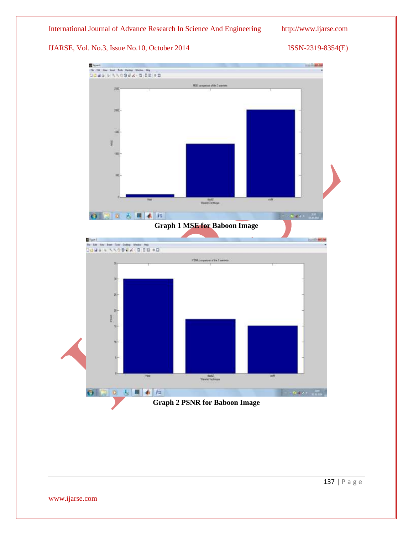

www.ijarse.com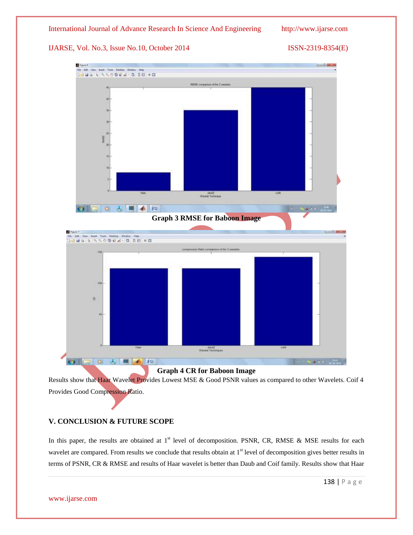International Journal of Advance Research In Science And Engineering http://www.ijarse.com

IJARSE, Vol. No.3, Issue No.10, October 2014 ISSN-2319-8354(E)



#### **Graph 4 CR for Baboon Image**

Results show that Haar Wavelet Provides Lowest MSE & Good PSNR values as compared to other Wavelets. Coif 4 Provides Good Compression Ratio.

### **V. CONCLUSION & FUTURE SCOPE**

In this paper, the results are obtained at  $1<sup>st</sup>$  level of decomposition. PSNR, CR, RMSE & MSE results for each wavelet are compared. From results we conclude that results obtain at 1<sup>st</sup> level of decomposition gives better results in terms of PSNR, CR & RMSE and results of Haar wavelet is better than Daub and Coif family. Results show that Haar